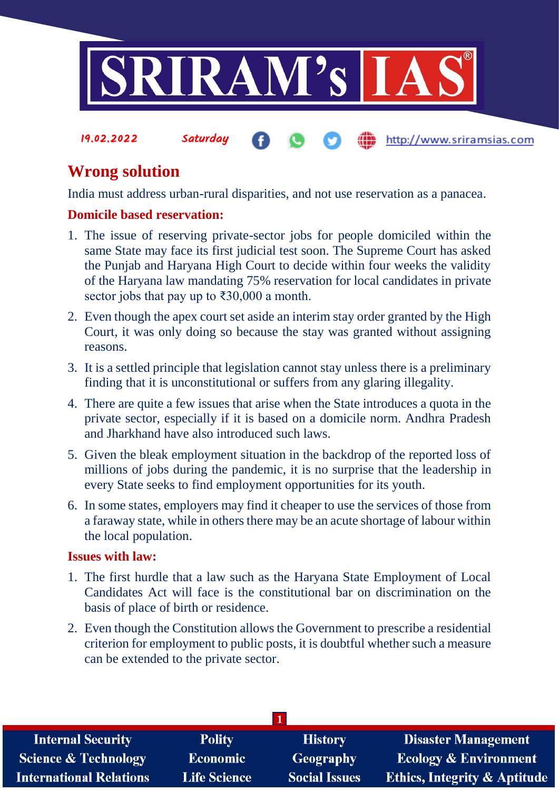

## **Wrong solution**

India must address urban-rural disparities, and not use reservation as a panacea.

## **Domicile based reservation:**

- 1. The issue of reserving private-sector jobs for people domiciled within the same State may face its first judicial test soon. The Supreme Court has asked the Punjab and Haryana High Court to decide within four weeks the validity of the Haryana law mandating 75% reservation for local candidates in private sector jobs that pay up to ₹30,000 a month.
- 2. Even though the apex court set aside an interim stay order granted by the High Court, it was only doing so because the stay was granted without assigning reasons.
- 3. It is a settled principle that legislation cannot stay unless there is a preliminary finding that it is unconstitutional or suffers from any glaring illegality.
- 4. There are quite a few issues that arise when the State introduces a quota in the private sector, especially if it is based on a domicile norm. Andhra Pradesh and Jharkhand have also introduced such laws.
- 5. Given the bleak employment situation in the backdrop of the reported loss of millions of jobs during the pandemic, it is no surprise that the leadership in every State seeks to find employment opportunities for its youth.
- 6. In some states, employers may find it cheaper to use the services of those from a faraway state, while in others there may be an acute shortage of labour within the local population.

## **Issues with law:**

- 1. The first hurdle that a law such as the Haryana State Employment of Local Candidates Act will face is the constitutional bar on discrimination on the basis of place of birth or residence.
- 2. Even though the Constitution allows the Government to prescribe a residential criterion for employment to public posts, it is doubtful whether such a measure can be extended to the private sector.

| <b>Internal Security</b>        | <b>Polity</b>       | <b>History</b>       | <b>Disaster Management</b>              |  |  |
|---------------------------------|---------------------|----------------------|-----------------------------------------|--|--|
| <b>Science &amp; Technology</b> | <b>Economic</b>     | Geography            | <b>Ecology &amp; Environment</b>        |  |  |
| <b>International Relations</b>  | <b>Life Science</b> | <b>Social Issues</b> | <b>Ethics, Integrity &amp; Aptitude</b> |  |  |